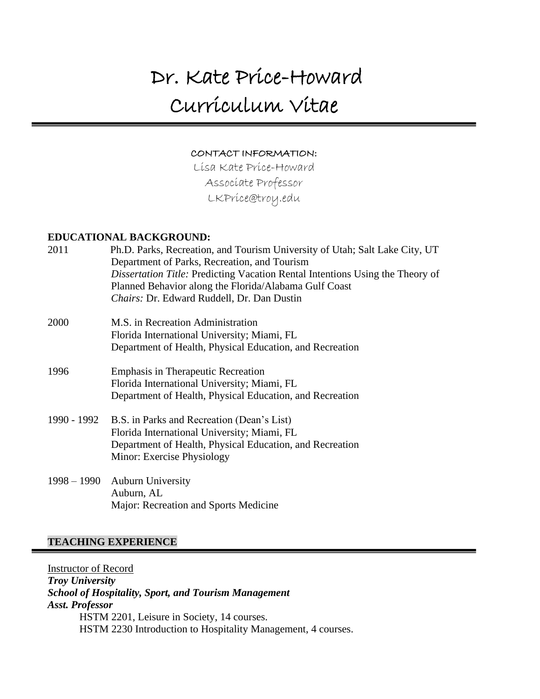# Dr. Kate Price-Howard Curriculum Vitae

#### CONTACT INFORMATION:

Lisa Kate Price-Howard Associate Professor LKPrice@troy.edu

#### **EDUCATIONAL BACKGROUND:**

| 2011        | Ph.D. Parks, Recreation, and Tourism University of Utah; Salt Lake City, UT<br>Department of Parks, Recreation, and Tourism |
|-------------|-----------------------------------------------------------------------------------------------------------------------------|
|             | Dissertation Title: Predicting Vacation Rental Intentions Using the Theory of                                               |
|             | Planned Behavior along the Florida/Alabama Gulf Coast                                                                       |
|             | Chairs: Dr. Edward Ruddell, Dr. Dan Dustin                                                                                  |
| 2000        | M.S. in Recreation Administration                                                                                           |
|             | Florida International University; Miami, FL                                                                                 |
|             | Department of Health, Physical Education, and Recreation                                                                    |
| 1996        | <b>Emphasis in Therapeutic Recreation</b>                                                                                   |
|             | Florida International University; Miami, FL                                                                                 |
|             | Department of Health, Physical Education, and Recreation                                                                    |
| 1990 - 1992 | B.S. in Parks and Recreation (Dean's List)                                                                                  |
|             | Florida International University; Miami, FL                                                                                 |
|             | Department of Health, Physical Education, and Recreation                                                                    |
|             | Minor: Exercise Physiology                                                                                                  |
|             | 1998 – 1990 Auburn University                                                                                               |
|             | Auburn, AL                                                                                                                  |

#### **TEACHING EXPERIENCE**

Instructor of Record *Troy University School of Hospitality, Sport, and Tourism Management Asst. Professor*  HSTM 2201, Leisure in Society, 14 courses. HSTM 2230 Introduction to Hospitality Management, 4 courses.

Major: Recreation and Sports Medicine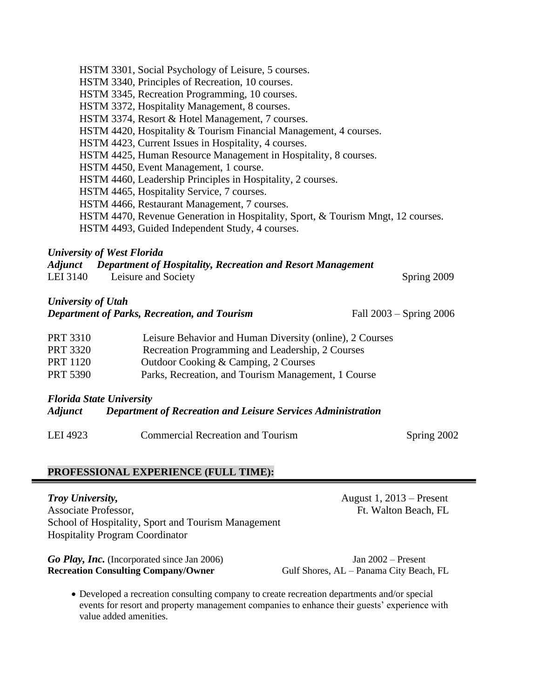| HSTM 3301, Social Psychology of Leisure, 5 courses.                              |
|----------------------------------------------------------------------------------|
| HSTM 3340, Principles of Recreation, 10 courses.                                 |
| HSTM 3345, Recreation Programming, 10 courses.                                   |
| HSTM 3372, Hospitality Management, 8 courses.                                    |
| HSTM 3374, Resort & Hotel Management, 7 courses.                                 |
| HSTM 4420, Hospitality & Tourism Financial Management, 4 courses.                |
| HSTM 4423, Current Issues in Hospitality, 4 courses.                             |
| HSTM 4425, Human Resource Management in Hospitality, 8 courses.                  |
| HSTM 4450, Event Management, 1 course.                                           |
| HSTM 4460, Leadership Principles in Hospitality, 2 courses.                      |
| HSTM 4465, Hospitality Service, 7 courses.                                       |
| HSTM 4466, Restaurant Management, 7 courses.                                     |
| HSTM 4470, Revenue Generation in Hospitality, Sport, & Tourism Mngt, 12 courses. |
| HSTM 4493, Guided Independent Study, 4 courses.                                  |

#### *University of West Florida*

|          | Adjunct Department of Hospitality, Recreation and Resort Management |             |
|----------|---------------------------------------------------------------------|-------------|
| LEI 3140 | Leisure and Society                                                 | Spring 2009 |

## *University of Utah*

| Department of Parks, Recreation, and Tourism | Fall $2003 -$ Spring $2006$ |
|----------------------------------------------|-----------------------------|
|                                              |                             |

| <b>PRT 3310</b> | Leisure Behavior and Human Diversity (online), 2 Courses |
|-----------------|----------------------------------------------------------|
| <b>PRT 3320</b> | Recreation Programming and Leadership, 2 Courses         |
| <b>PRT 1120</b> | Outdoor Cooking & Camping, 2 Courses                     |
| <b>PRT 5390</b> | Parks, Recreation, and Tourism Management, 1 Course      |

## *Florida State University*

#### *Adjunct Department of Recreation and Leisure Services Administration*

LEI 4923 Commercial Recreation and Tourism Spring 2002

## **PROFESSIONAL EXPERIENCE (FULL TIME):**

#### **Troy University,** August 1, 2013 – Present

Associate Professor, **Ft. Walton Beach, FL** School of Hospitality, Sport and Tourism Management Hospitality Program Coordinator

Go Play, Inc. (Incorporated since Jan 2006) Jan 2002 – Present **Recreation Consulting Company/Owner** Gulf Shores, AL – Panama City Beach, FL

• Developed a recreation consulting company to create recreation departments and/or special events for resort and property management companies to enhance their guests' experience with value added amenities.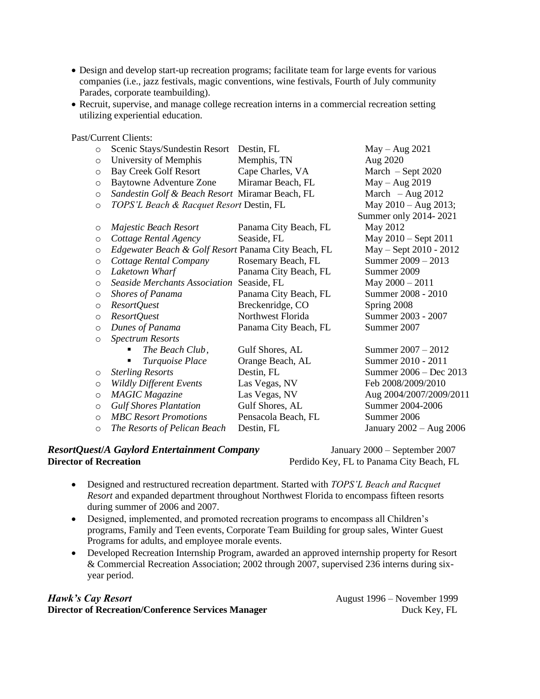- Design and develop start-up recreation programs; facilitate team for large events for various companies (i.e., jazz festivals, magic conventions, wine festivals, Fourth of July community Parades, corporate teambuilding).
- Recruit, supervise, and manage college recreation interns in a commercial recreation setting utilizing experiential education.

Past/Current Clients:

| $\circ$ | Scenic Stays/Sundestin Resort Destin, FL            |                       | $May - Aug 2021$        |
|---------|-----------------------------------------------------|-----------------------|-------------------------|
| $\circ$ | University of Memphis                               | Memphis, TN           | Aug 2020                |
| $\circ$ | <b>Bay Creek Golf Resort</b>                        | Cape Charles, VA      | March $-$ Sept 2020     |
| $\circ$ | Baytowne Adventure Zone Miramar Beach, FL           |                       | May - Aug 2019          |
| $\circ$ | Sandestin Golf & Beach Resort Miramar Beach, FL     |                       | March $-$ Aug 2012      |
| $\circ$ | TOPS'L Beach & Racquet Resort Destin, FL            |                       | May $2010 - Aug$ 2013;  |
|         |                                                     |                       | Summer only 2014-2021   |
| $\circ$ | Majestic Beach Resort                               | Panama City Beach, FL | May 2012                |
| $\circ$ | Cottage Rental Agency                               | Seaside, FL           | May 2010 - Sept 2011    |
| $\circ$ | Edgewater Beach & Golf Resort Panama City Beach, FL |                       | May - Sept 2010 - 2012  |
| $\circ$ | Cottage Rental Company                              | Rosemary Beach, FL    | Summer 2009 - 2013      |
| $\circ$ | Laketown Wharf                                      | Panama City Beach, FL | Summer 2009             |
| $\circ$ | <b>Seaside Merchants Association</b>                | Seaside, FL           | May $2000 - 2011$       |
| $\circ$ | <b>Shores of Panama</b>                             | Panama City Beach, FL | Summer 2008 - 2010      |
| $\circ$ | ResortQuest                                         | Breckenridge, CO      | Spring 2008             |
| $\circ$ | ResortQuest                                         | Northwest Florida     | Summer 2003 - 2007      |
| $\circ$ | Dunes of Panama                                     | Panama City Beach, FL | Summer 2007             |
| $\circ$ | <b>Spectrum Resorts</b>                             |                       |                         |
|         | The Beach Club,                                     | Gulf Shores, AL       | Summer $2007 - 2012$    |
|         | Turquoise Place                                     | Orange Beach, AL      | Summer 2010 - 2011      |
| $\circ$ | <b>Sterling Resorts</b>                             | Destin, FL            | Summer 2006 – Dec 2013  |
| $\circ$ | <b>Wildly Different Events</b>                      | Las Vegas, NV         | Feb 2008/2009/2010      |
| $\circ$ | <b>MAGIC</b> Magazine                               | Las Vegas, NV         | Aug 2004/2007/2009/2011 |
| $\circ$ | <b>Gulf Shores Plantation</b>                       | Gulf Shores, AL       | Summer 2004-2006        |
| $\circ$ | <b>MBC</b> Resort Promotions                        | Pensacola Beach, FL   | Summer 2006             |
| $\circ$ | The Resorts of Pelican Beach                        | Destin, FL            | January 2002 - Aug 2006 |

## *ResortQuest*/*A Gaylord Entertainment Company* January 2000 – September 2007<br>Perdido Kev. FL to Panama City Beach. FL

Perdido Key, FL to Panama City Beach, FL

- Designed and restructured recreation department. Started with *TOPS'L Beach and Racquet Resort* and expanded department throughout Northwest Florida to encompass fifteen resorts during summer of 2006 and 2007.
- Designed, implemented, and promoted recreation programs to encompass all Children's programs, Family and Teen events, Corporate Team Building for group sales, Winter Guest Programs for adults, and employee morale events.
- Developed Recreation Internship Program, awarded an approved internship property for Resort & Commercial Recreation Association; 2002 through 2007, supervised 236 interns during sixyear period.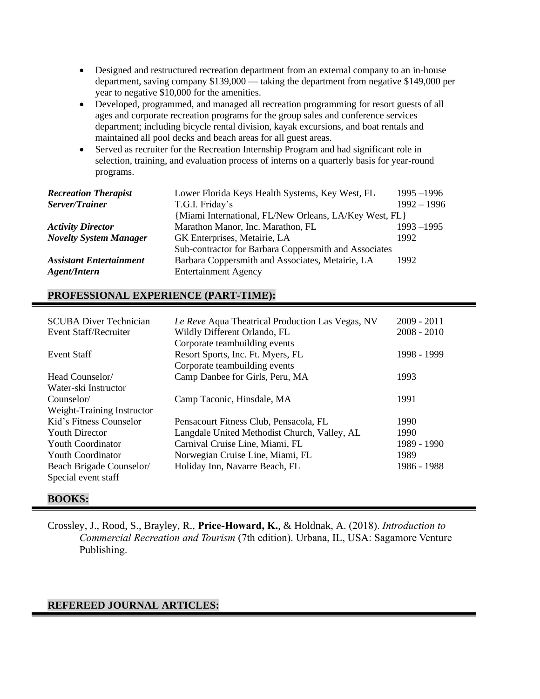- Designed and restructured recreation department from an external company to an in-house department, saving company \$139,000 — taking the department from negative \$149,000 per year to negative \$10,000 for the amenities.
- Developed, programmed, and managed all recreation programming for resort guests of all ages and corporate recreation programs for the group sales and conference services department; including bicycle rental division, kayak excursions, and boat rentals and maintained all pool decks and beach areas for all guest areas.
- Served as recruiter for the Recreation Internship Program and had significant role in selection, training, and evaluation process of interns on a quarterly basis for year-round programs.

| <b>Recreation Therapist</b>    | Lower Florida Keys Health Systems, Key West, FL        | $1995 - 1996$ |
|--------------------------------|--------------------------------------------------------|---------------|
| Server/Trainer                 | T.G.I. Friday's                                        | $1992 - 1996$ |
|                                | {Miami International, FL/New Orleans, LA/Key West, FL} |               |
| <b>Activity Director</b>       | Marathon Manor, Inc. Marathon, FL                      | $1993 - 1995$ |
| <b>Novelty System Manager</b>  | GK Enterprises, Metairie, LA                           | 1992          |
|                                | Sub-contractor for Barbara Coppersmith and Associates  |               |
| <b>Assistant Entertainment</b> | Barbara Coppersmith and Associates, Metairie, LA       | 1992          |
| Agent/Intern                   | <b>Entertainment Agency</b>                            |               |

## **PROFESSIONAL EXPERIENCE (PART-TIME):**

| <b>SCUBA Diver Technician</b> | Le Reve Aqua Theatrical Production Las Vegas, NV | $2009 - 2011$ |
|-------------------------------|--------------------------------------------------|---------------|
| Event Staff/Recruiter         | Wildly Different Orlando, FL                     | $2008 - 2010$ |
|                               | Corporate teambuilding events                    |               |
| Event Staff                   | Resort Sports, Inc. Ft. Myers, FL                | 1998 - 1999   |
|                               | Corporate teambuilding events                    |               |
| Head Counselor/               | Camp Danbee for Girls, Peru, MA                  | 1993          |
| Water-ski Instructor          |                                                  |               |
| Counselor/                    | Camp Taconic, Hinsdale, MA                       | 1991          |
| Weight-Training Instructor    |                                                  |               |
| Kid's Fitness Counselor       | Pensacourt Fitness Club, Pensacola, FL           | 1990          |
| <b>Youth Director</b>         | Langdale United Methodist Church, Valley, AL     | 1990          |
| <b>Youth Coordinator</b>      | Carnival Cruise Line, Miami, FL                  | 1989 - 1990   |
| <b>Youth Coordinator</b>      | Norwegian Cruise Line, Miami, FL                 | 1989          |
| Beach Brigade Counselor/      | Holiday Inn, Navarre Beach, FL                   | 1986 - 1988   |
| Special event staff           |                                                  |               |

#### **BOOKS:**

Crossley, J., Rood, S., Brayley, R., **Price-Howard, K.**, & Holdnak, A. (2018). *Introduction to Commercial Recreation and Tourism* (7th edition). Urbana, IL, USA: Sagamore Venture Publishing.

#### **REFEREED JOURNAL ARTICLES:**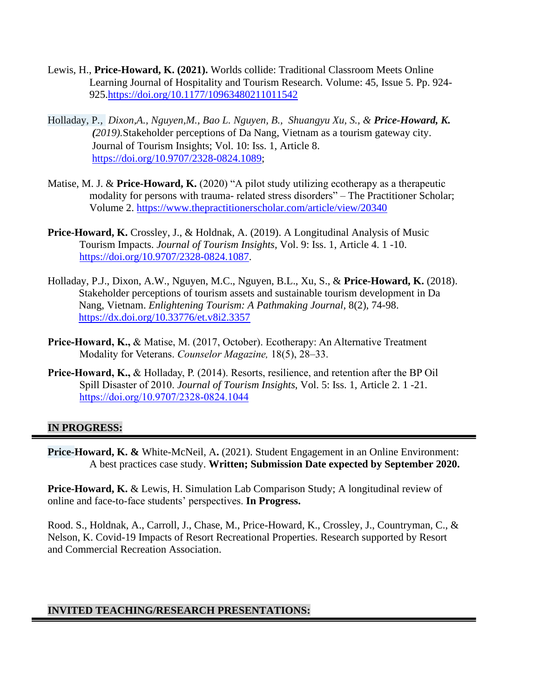- Lewis, H., **Price-Howard, K. (2021).** Worlds collide: Traditional Classroom Meets Online Learning Journal of Hospitality and Tourism Research. Volume: 45, Issue 5. Pp. 924- 925[.https://doi.org/10.1177/10963480211011542](https://doi.org/10.1177/10963480211011542)
- Holladay, P*., Dixon,A., Nguyen,M., Bao L. Nguyen, B., Shuangyu Xu, S., & Price-Howard, K. (2019).*Stakeholder perceptions of Da Nang, Vietnam as a tourism gateway city. Journal of Tourism Insights; Vol. 10: Iss. 1, Article 8. [https://doi.org/10.9707/2328-0824.1089;](https://doi.org/10.9707/2328-0824.1089)
- Matise, M. J. & **Price-Howard, K.** (2020) "A pilot study utilizing ecotherapy as a therapeutic modality for persons with trauma- related stress disorders" – The Practitioner Scholar; Volume 2.<https://www.thepractitionerscholar.com/article/view/20340>
- **Price-Howard, K.** Crossley, J., & Holdnak, A. (2019). A Longitudinal Analysis of Music Tourism Impacts. *Journal of Tourism Insights*, Vol. 9: Iss. 1, Article 4. 1 -10. [https://doi.org/10.9707/2328-0824.1087.](https://doi.org/10.9707/2328-0824.1087)
- Holladay, P.J., Dixon, A.W., Nguyen, M.C., Nguyen, B.L., Xu, S., & **Price-Howard, K.** (2018). Stakeholder perceptions of tourism assets and sustainable tourism development in Da Nang, Vietnam. *Enlightening Tourism: A Pathmaking Journal,* 8(2), 74-98. <https://dx.doi.org/10.33776/et.v8i2.3357>
- **Price-Howard, K.,** & Matise, M. (2017, October). Ecotherapy: An Alternative Treatment Modality for Veterans. *Counselor Magazine,* 18(5), 28–33.
- **Price-Howard, K.,** & Holladay, P. (2014). Resorts, resilience, and retention after the BP Oil Spill Disaster of 2010. *Journal of Tourism Insights*, Vol. 5: Iss. 1, Article 2. 1 -21. <https://doi.org/10.9707/2328-0824.1044>

#### **IN PROGRESS:**

**Price-Howard, K. &** White-McNeil, A**.** (2021). Student Engagement in an Online Environment: A best practices case study. **Written; Submission Date expected by September 2020.**

**Price-Howard, K.** & Lewis, H. Simulation Lab Comparison Study; A longitudinal review of online and face-to-face students' perspectives. **In Progress.**

Rood. S., Holdnak, A., Carroll, J., Chase, M., Price-Howard, K., Crossley, J., Countryman, C., & Nelson, K. Covid-19 Impacts of Resort Recreational Properties. Research supported by Resort and Commercial Recreation Association.

#### **INVITED TEACHING/RESEARCH PRESENTATIONS:**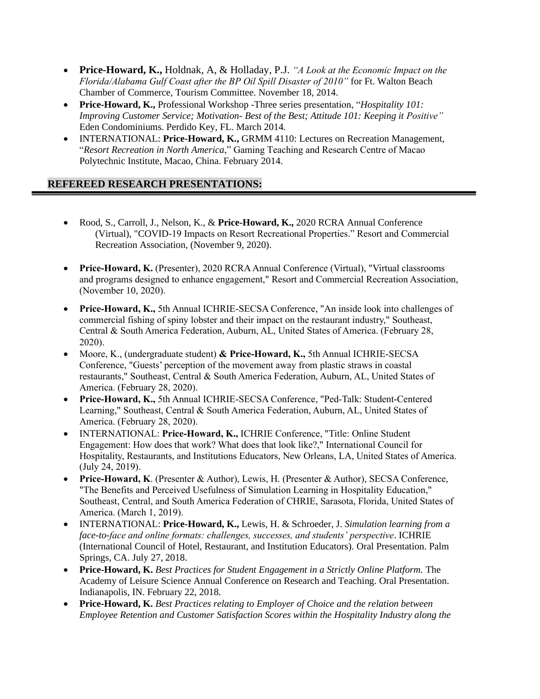- **Price-Howard, K.,** Holdnak, A, & Holladay, P.J. *"A Look at the Economic Impact on the Florida/Alabama Gulf Coast after the BP Oil Spill Disaster of 2010"* for Ft. Walton Beach Chamber of Commerce, Tourism Committee. November 18, 2014.
- **Price-Howard, K.,** Professional Workshop -Three series presentation, "*Hospitality 101: Improving Customer Service; Motivation- Best of the Best; Attitude 101: Keeping it Positive"* Eden Condominiums. Perdido Key, FL. March 2014.
- INTERNATIONAL: **Price-Howard, K.,** GRMM 4110: Lectures on Recreation Management, "*Resort Recreation in North America*," Gaming Teaching and Research Centre of Macao Polytechnic Institute, Macao, China. February 2014.

## **REFEREED RESEARCH PRESENTATIONS:**

- Rood, S., Carroll, J., Nelson, K., & **Price-Howard, K.,** 2020 RCRA Annual Conference (Virtual), "COVID-19 Impacts on Resort Recreational Properties." Resort and Commercial Recreation Association, (November 9, 2020).
- **Price-Howard, K.** (Presenter), 2020 RCRA Annual Conference (Virtual), "Virtual classrooms and programs designed to enhance engagement," Resort and Commercial Recreation Association, (November 10, 2020).
- **Price-Howard, K.,** 5th Annual ICHRIE-SECSA Conference, "An inside look into challenges of commercial fishing of spiny lobster and their impact on the restaurant industry," Southeast, Central & South America Federation, Auburn, AL, United States of America. (February 28, 2020).
- Moore, K., (undergraduate student) **& Price-Howard, K.,** 5th Annual ICHRIE-SECSA Conference, "Guests' perception of the movement away from plastic straws in coastal restaurants," Southeast, Central & South America Federation, Auburn, AL, United States of America. (February 28, 2020).
- **Price-Howard, K.,** 5th Annual ICHRIE-SECSA Conference, "Ped-Talk: Student-Centered Learning," Southeast, Central & South America Federation, Auburn, AL, United States of America. (February 28, 2020).
- INTERNATIONAL: **Price-Howard, K.,** ICHRIE Conference, "Title: Online Student Engagement: How does that work? What does that look like?," International Council for Hospitality, Restaurants, and Institutions Educators, New Orleans, LA, United States of America. (July 24, 2019).
- **Price-Howard, K**. (Presenter & Author), Lewis, H. (Presenter & Author), SECSA Conference, "The Benefits and Perceived Usefulness of Simulation Learning in Hospitality Education," Southeast, Central, and South America Federation of CHRIE, Sarasota, Florida, United States of America. (March 1, 2019).
- INTERNATIONAL: **Price-Howard, K.,** Lewis, H. & Schroeder, J. *Simulation learning from a face-to-face and online formats: challenges, successes, and students' perspective*. ICHRIE (International Council of Hotel, Restaurant, and Institution Educators). Oral Presentation. Palm Springs, CA. July 27, 2018.
- **Price-Howard, K.** *Best Practices for Student Engagement in a Strictly Online Platform.* The Academy of Leisure Science Annual Conference on Research and Teaching. Oral Presentation. Indianapolis, IN. February 22, 2018.
- **Price-Howard, K.** *Best Practices relating to Employer of Choice and the relation between Employee Retention and Customer Satisfaction Scores within the Hospitality Industry along the*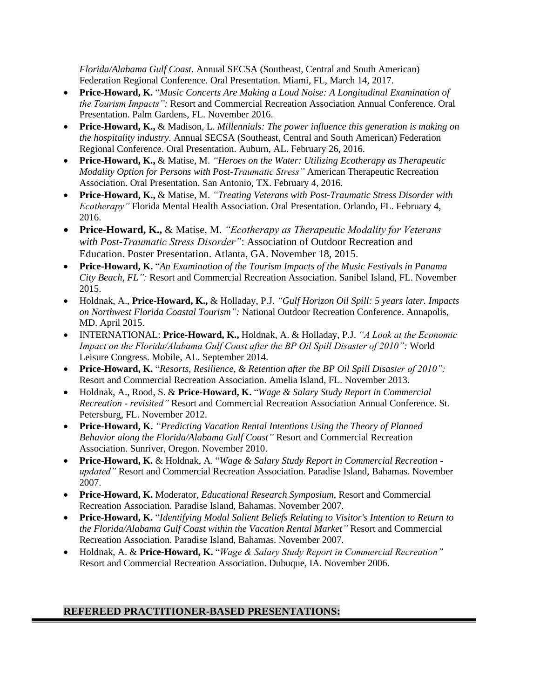*Florida/Alabama Gulf Coast.* Annual SECSA (Southeast, Central and South American) Federation Regional Conference. Oral Presentation. Miami, FL, March 14, 2017.

- **Price-Howard, K.** "*Music Concerts Are Making a Loud Noise: A Longitudinal Examination of the Tourism Impacts":* Resort and Commercial Recreation Association Annual Conference. Oral Presentation. Palm Gardens, FL. November 2016.
- **Price-Howard, K.,** & Madison, L. *Millennials: The power influence this generation is making on the hospitality industry.* Annual SECSA (Southeast, Central and South American) Federation Regional Conference. Oral Presentation. Auburn, AL. February 26, 2016.
- **Price**-**Howard, K.,** & Matise, M. *"Heroes on the Water: Utilizing Ecotherapy as Therapeutic Modality Option for Persons with Post-Traumatic Stress"* American Therapeutic Recreation Association. Oral Presentation. San Antonio, TX. February 4, 2016.
- **Price**-**Howard, K.,** & Matise, M. *"Treating Veterans with Post-Traumatic Stress Disorder with Ecotherapy"* Florida Mental Health Association. Oral Presentation. Orlando, FL. February 4, 2016.
- **Price-Howard, K.,** & Matise, M. *"Ecotherapy as Therapeutic Modality for Veterans with Post-Traumatic Stress Disorder"*: Association of Outdoor Recreation and Education. Poster Presentation. Atlanta, GA. November 18, 2015.
- **Price-Howard, K.** "*An Examination of the Tourism Impacts of the Music Festivals in Panama City Beach, FL":* Resort and Commercial Recreation Association. Sanibel Island, FL. November 2015.
- Holdnak, A., **Price-Howard, K.,** & Holladay, P.J. *"Gulf Horizon Oil Spill: 5 years later. Impacts on Northwest Florida Coastal Tourism":* National Outdoor Recreation Conference. Annapolis, MD. April 2015.
- INTERNATIONAL: **Price-Howard, K.,** Holdnak, A. & Holladay, P.J. *"A Look at the Economic Impact on the Florida/Alabama Gulf Coast after the BP Oil Spill Disaster of 2010":* World Leisure Congress. Mobile, AL. September 2014.
- **Price-Howard, K.** "*Resorts, Resilience, & Retention after the BP Oil Spill Disaster of 2010":*  Resort and Commercial Recreation Association. Amelia Island, FL. November 2013.
- Holdnak, A., Rood, S. & **Price-Howard, K.** "*Wage & Salary Study Report in Commercial Recreation - revisited"* Resort and Commercial Recreation Association Annual Conference. St. Petersburg, FL. November 2012.
- **Price-Howard, K.** *"Predicting Vacation Rental Intentions Using the Theory of Planned Behavior along the Florida/Alabama Gulf Coast"* Resort and Commercial Recreation Association. Sunriver, Oregon. November 2010.
- **Price-Howard, K.** & Holdnak, A. "*Wage & Salary Study Report in Commercial Recreation updated"* Resort and Commercial Recreation Association. Paradise Island, Bahamas. November 2007.
- **Price-Howard, K.** Moderator, *Educational Research Symposium*, Resort and Commercial Recreation Association. Paradise Island, Bahamas. November 2007.
- **Price-Howard, K.** "*Identifying Modal Salient Beliefs Relating to Visitor's Intention to Return to the Florida/Alabama Gulf Coast within the Vacation Rental Market"* Resort and Commercial Recreation Association. Paradise Island, Bahamas. November 2007.
- Holdnak, A. & **Price-Howard, K.** "*Wage & Salary Study Report in Commercial Recreation"*  Resort and Commercial Recreation Association. Dubuque, IA. November 2006.

## **REFEREED PRACTITIONER-BASED PRESENTATIONS:**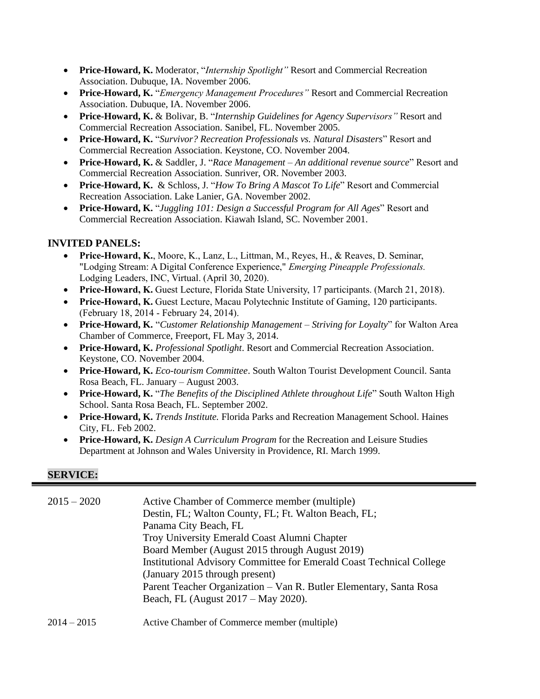- **Price-Howard, K.** Moderator, "*Internship Spotlight"* Resort and Commercial Recreation Association. Dubuque, IA. November 2006.
- **Price-Howard, K.** "*Emergency Management Procedures"* Resort and Commercial Recreation Association. Dubuque, IA. November 2006.
- **Price-Howard, K.** & Bolivar, B. "*Internship Guidelines for Agency Supervisors"* Resort and Commercial Recreation Association. Sanibel, FL. November 2005.
- **Price-Howard, K.** "*Survivor? Recreation Professionals vs. Natural Disasters*" Resort and Commercial Recreation Association. Keystone, CO. November 2004.
- **Price-Howard, K.** & Saddler, J. "*Race Management – An additional revenue source*" Resort and Commercial Recreation Association. Sunriver, OR. November 2003.
- **Price-Howard, K.** & Schloss, J. "*How To Bring A Mascot To Life*" Resort and Commercial Recreation Association. Lake Lanier, GA. November 2002.
- **Price-Howard, K.** "*Juggling 101: Design a Successful Program for All Ages*" Resort and Commercial Recreation Association. Kiawah Island, SC. November 2001.

## **INVITED PANELS:**

- **Price-Howard, K.**, Moore, K., Lanz, L., Littman, M., Reyes, H., & Reaves, D. Seminar, "Lodging Stream: A Digital Conference Experience," *Emerging Pineapple Professionals.* Lodging Leaders, INC, Virtual. (April 30, 2020).
- **Price-Howard, K.** Guest Lecture, Florida State University, 17 participants. (March 21, 2018).
- **Price-Howard, K.** Guest Lecture, Macau Polytechnic Institute of Gaming, 120 participants. (February 18, 2014 - February 24, 2014).
- **Price-Howard, K.** "*Customer Relationship Management – Striving for Loyalty*" for Walton Area Chamber of Commerce, Freeport, FL May 3, 2014.
- **Price-Howard, K.** *Professional Spotlight*. Resort and Commercial Recreation Association. Keystone, CO. November 2004.
- **Price-Howard, K.** *Eco-tourism Committee*. South Walton Tourist Development Council. Santa Rosa Beach, FL. January – August 2003.
- **Price-Howard, K.** "*The Benefits of the Disciplined Athlete throughout Life*" South Walton High School. Santa Rosa Beach, FL. September 2002.
- **Price-Howard, K.** *Trends Institute.* Florida Parks and Recreation Management School. Haines City, FL. Feb 2002.
- **Price-Howard, K.** *Design A Curriculum Program* for the Recreation and Leisure Studies Department at Johnson and Wales University in Providence, RI. March 1999.

#### **SERVICE:**

| $2015 - 2020$ | Active Chamber of Commerce member (multiple)<br>Destin, FL; Walton County, FL; Ft. Walton Beach, FL;<br>Panama City Beach, FL<br>Troy University Emerald Coast Alumni Chapter<br>Board Member (August 2015 through August 2019)<br>Institutional Advisory Committee for Emerald Coast Technical College<br>(January 2015 through present)<br>Parent Teacher Organization - Van R. Butler Elementary, Santa Rosa |
|---------------|-----------------------------------------------------------------------------------------------------------------------------------------------------------------------------------------------------------------------------------------------------------------------------------------------------------------------------------------------------------------------------------------------------------------|
|               | Beach, FL (August 2017 – May 2020).                                                                                                                                                                                                                                                                                                                                                                             |
|               |                                                                                                                                                                                                                                                                                                                                                                                                                 |

## 2014 – 2015 Active Chamber of Commerce member (multiple)